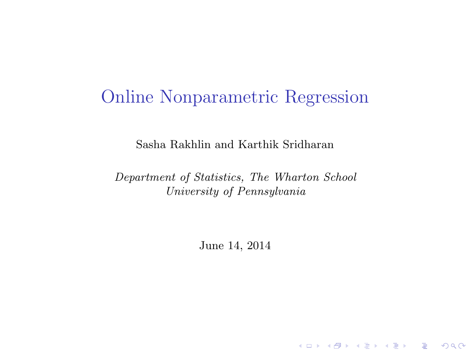### Online Nonparametric Regression

Sasha Rakhlin and Karthik Sridharan

Department of Statistics, The Wharton School University of Pennsylvania

June 14, 2014

K □ ▶ K @ ▶ K 할 X K 할 X \_ 할 X 10 Q Q Q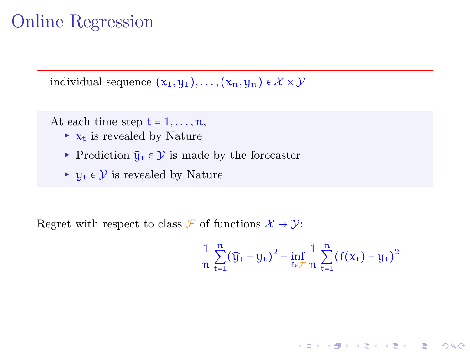individual sequence  $(x_1, y_1), \ldots, (x_n, y_n) \in \mathcal{X} \times \mathcal{Y}$ 

At each time step  $t = 1, \ldots, n$ ,

- $\triangleright$   $x_t$  is revealed by Nature
- ▸ Prediction  $\widehat{y}_t$   $\in \mathcal{Y}$  is made by the forecaster
- $\triangleright$   $\mathbf{u}_t$  ∈  $\mathcal{Y}$  is revealed by Nature

Regret with respect to class  $\mathcal{F}$  of functions  $\mathcal{X} \to \mathcal{Y}$ :

$$
\frac{1}{n}\sum_{t=1}^n(\widehat{y}_t - y_t)^2 - \inf_{f \in \mathcal{F}} \frac{1}{n}\sum_{t=1}^n (f(x_t) - y_t)^2
$$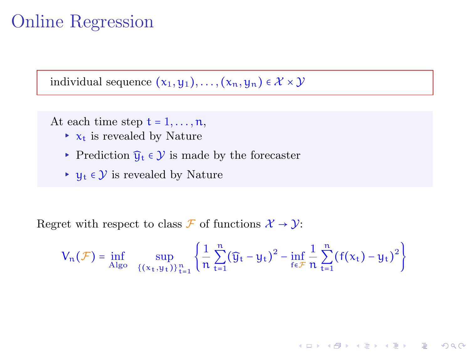individual sequence  $(x_1, y_1), \ldots, (x_n, y_n) \in \mathcal{X} \times \mathcal{Y}$ 

At each time step  $t = 1, \ldots, n$ ,

- $\triangleright$   $x_t$  is revealed by Nature
- ▸ Prediction  $\widehat{y}_t$   $\in \mathcal{Y}$  is made by the forecaster
- $\triangleright$   $\mathbf{u}_t$  ∈  $\mathcal{Y}$  is revealed by Nature

Regret with respect to class  $\mathcal{F}$  of functions  $\mathcal{X} \to \mathcal{Y}$ :

$$
V_n(\mathcal{F}) = \inf_{\text{Also}} \sup_{\{(x_t, y_t)\}_{t=1}^n} \left\{ \frac{1}{n} \sum_{t=1}^n (\widehat{y}_t - y_t)^2 - \inf_{f \in \mathcal{F}} \frac{1}{n} \sum_{t=1}^n (f(x_t) - y_t)^2 \right\}
$$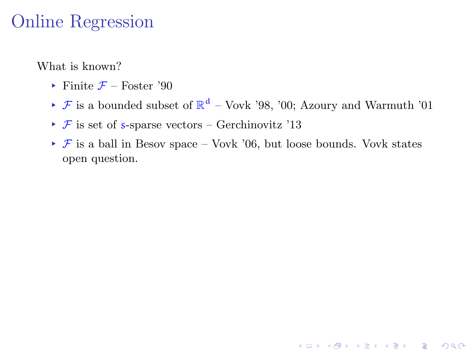What is known?

- $\blacktriangleright$  Finite  $\mathcal{F}$  Foster '90
- $\blacktriangleright$  **F** is a bounded subset of  $\mathbb{R}^d$  Vovk '98, '00; Azoury and Warmuth '01
- $\triangleright$  F is set of s-sparse vectors Gerchinovitz '13
- $\rightarrow \mathcal{F}$  is a ball in Besov space Vovk '06, but loose bounds. Vovk states open question.

K □ ▶ K @ ▶ K 할 X K 할 X \_ 할 X 10 Q Q Q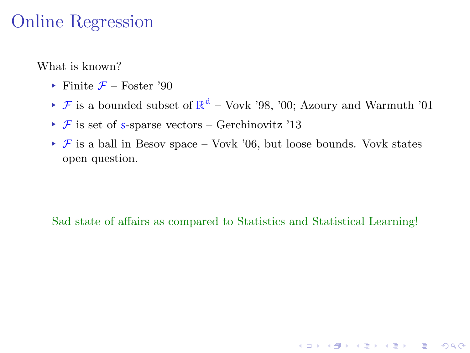What is known?

- $\blacktriangleright$  Finite  $\mathcal{F}$  Foster '90
- $\blacktriangleright$  **F** is a bounded subset of  $\mathbb{R}^d$  Vovk '98, '00; Azoury and Warmuth '01
- $\triangleright$  F is set of s-sparse vectors Gerchinovitz '13
- $\triangleright$  F is a ball in Besov space Vovk '06, but loose bounds. Vovk states open question.

#### Sad state of affairs as compared to Statistics and Statistical Learning!

K □ ▶ K @ ▶ K 할 X K 할 X \_ 할 X 10 Q Q Q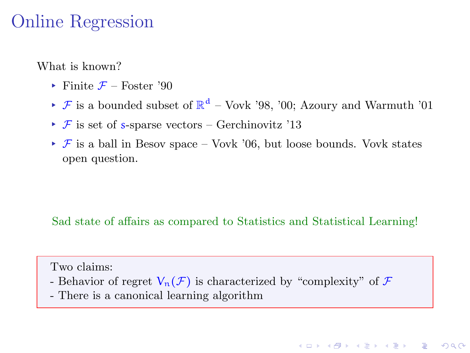What is known?

- $\blacktriangleright$  Finite  $\mathcal{F}$  Foster '90
- $\blacktriangleright$  **F** is a bounded subset of  $\mathbb{R}^d$  Vovk '98, '00; Azoury and Warmuth '01
- $\triangleright$  F is set of s-sparse vectors Gerchinovitz '13
- $\triangleright$  F is a ball in Besov space Vovk '06, but loose bounds. Vovk states open question.

#### Sad state of affairs as compared to Statistics and Statistical Learning!

**KOR & KERKER ADA KON** 

#### Two claims:

- Behavior of regret  $V_n(\mathcal{F})$  is characterized by "complexity" of  $\mathcal F$
- There is a canonical learning algorithm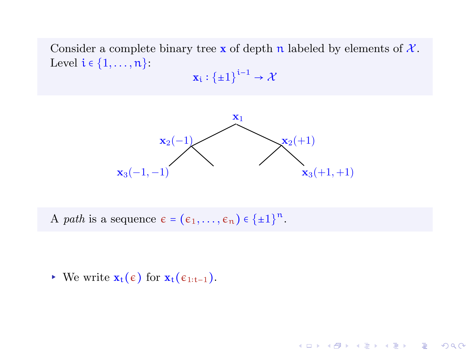Consider a complete binary tree x of depth n labeled by elements of  $\mathcal{X}$ . Level  $i \in \{1, \ldots, n\}$ :

$$
\mathbf{x}_i : {\{\pm 1\}}^{i-1} \to \mathcal{X}
$$



**KOR & KERKER ADA KON** 

A path is a sequence  $\epsilon = (\epsilon_1, \ldots, \epsilon_n) \in \{\pm 1\}^n$ .

 $\triangleright$  We write **x**<sub>t</sub>( $\epsilon$ ) for **x**<sub>t</sub>( $\epsilon$ <sub>1:t−1</sub>).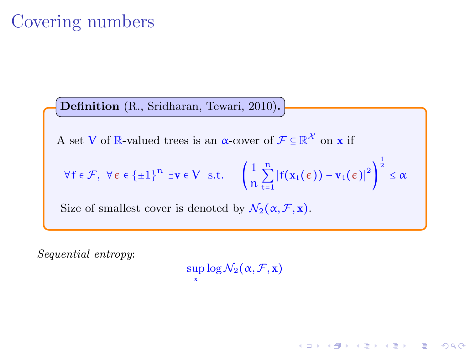# Covering numbers

Definition (R., Sridharan, Tewari, 2010).

A set V of  $\mathbb{R}$ -valued trees is an  $\alpha$ -cover of  $\mathcal{F} \subseteq \mathbb{R}^{\mathcal{X}}$  on **x** if

$$
\forall f \in \mathcal{F}, \ \forall \varepsilon \in \{\pm 1\}^n \ \exists v \in V \ \text{ s.t. } \left(\frac{1}{n} \sum_{t=1}^n \left|f(x_t(\varepsilon)) - v_t(\varepsilon)\right|^2\right)^{\frac{1}{2}} \leq \alpha
$$

Size of smallest cover is denoted by  $\mathcal{N}_2(\alpha, \mathcal{F}, \mathbf{x})$ .

Sequential entropy:

 $\sup\log\mathcal{N}_2(\alpha,\mathcal{F},\mathbf{x})$ x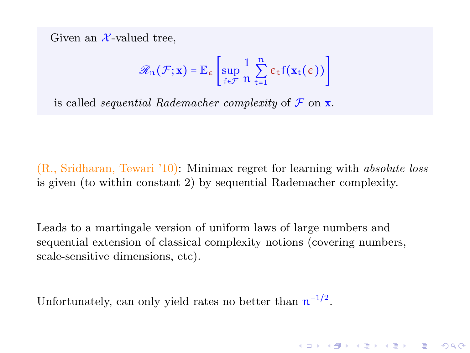Given an  $\mathcal{X}$ -valued tree.

$$
\mathscr{R}_n(\mathcal{F}; x) = \mathbb{E}_{\varepsilon} \left[ \sup_{f \in \mathcal{F}} \frac{1}{n} \sum_{t=1}^n \varepsilon_t f(x_t(\varepsilon)) \right]
$$

is called *sequential Rademacher complexity* of  $\mathcal F$  on  $\mathbf x$ .

(R., Sridharan, Tewari '10): Minimax regret for learning with absolute loss is given (to within constant 2) by sequential Rademacher complexity.

Leads to a martingale version of uniform laws of large numbers and sequential extension of classical complexity notions (covering numbers, scale-sensitive dimensions, etc).

**A DIA 4 B A DIA A B A DIA 4 DIA A DIA B** 

Unfortunately, can only yield rates no better than  $n^{-1/2}$ .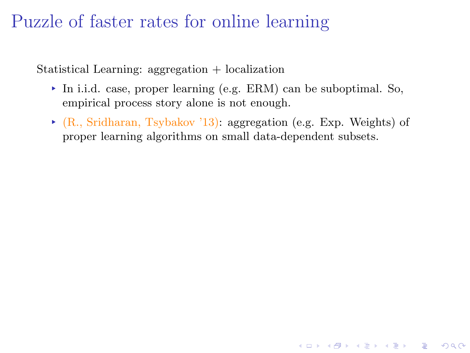## Puzzle of faster rates for online learning

Statistical Learning: aggregation + localization

- ▸ In i.i.d. case, proper learning (e.g. ERM) can be suboptimal. So, empirical process story alone is not enough.
- ▸ (R., Sridharan, Tsybakov '13): aggregation (e.g. Exp. Weights) of proper learning algorithms on small data-dependent subsets.

**KOR SERVER (ER 1990)**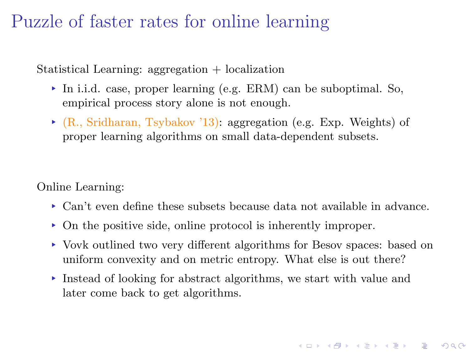### Puzzle of faster rates for online learning

Statistical Learning: aggregation + localization

- ▸ In i.i.d. case, proper learning (e.g. ERM) can be suboptimal. So, empirical process story alone is not enough.
- ▸ (R., Sridharan, Tsybakov '13): aggregation (e.g. Exp. Weights) of proper learning algorithms on small data-dependent subsets.

Online Learning:

- ▸ Can't even define these subsets because data not available in advance.
- ▸ On the positive side, online protocol is inherently improper.
- ▸ Vovk outlined two very different algorithms for Besov spaces: based on uniform convexity and on metric entropy. What else is out there?

K □ ▶ K @ ▶ K 할 X K 할 X \_ 할 X 10 Q Q Q

▸ Instead of looking for abstract algorithms, we start with value and later come back to get algorithms.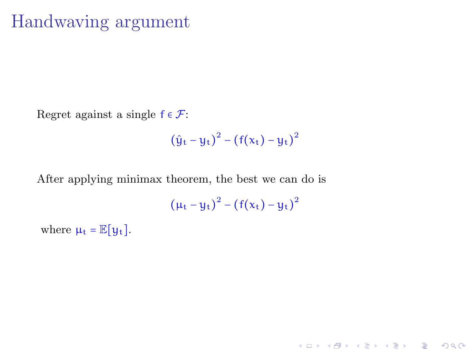### Handwaving argument

Regret against a single  $f \in \mathcal{F}$ :

$$
(\hat{y}_t - y_t)^2 - (f(x_t) - y_t)^2
$$

After applying minimax theorem, the best we can do is

 $(\mu_t - y_t)^2 - (f(x_t) - y_t)^2$ 

K □ ▶ K @ ▶ K 할 X K 할 X \_ 할 X 10 Q Q Q

where  $\mu_t = \mathbb{E}[y_t]$ .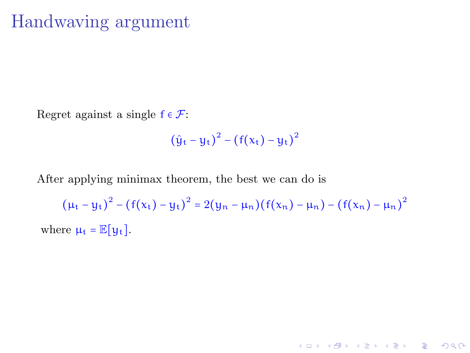### Handwaving argument

Regret against a single  $f \in \mathcal{F}$ :

$$
(\hat{y}_t - y_t)^2 - (f(x_t) - y_t)^2
$$

After applying minimax theorem, the best we can do is

 $(\mu_t - y_t)^2 - (f(x_t) - y_t)^2 = 2(y_n - \mu_n)(f(x_n) - \mu_n) - (f(x_n) - \mu_n)^2$ where  $\mu_t = \mathbb{E}[\mu_t]$ .

**K ロ ▶ K 레 ▶ K 코 ▶ K 코 ▶ 『코』 ◆ 9 Q OK**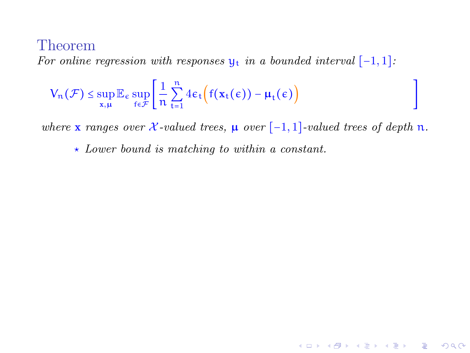For online regression with responses  $y_t$  in a bounded interval  $[-1, 1]$ :

$$
V_n(\mathcal{F}) \leq \sup_{x,\mu} \mathbb{E}_{\varepsilon} \sup_{f \in \mathcal{F}} \left[ \frac{1}{n} \sum_{t=1}^n 4\varepsilon_t \Big( f(x_t(\varepsilon)) - \mu_t(\varepsilon) \Big) \right]
$$

where x ranges over  $\mathcal{X}\text{-valued trees}, \mu$  over  $[-1,1]$ -valued trees of depth n.

]

K ロ ▶ K 個 ▶ K 할 ▶ K 할 ▶ 이 할 → 900

 $\star$  Lower bound is matching to within a constant.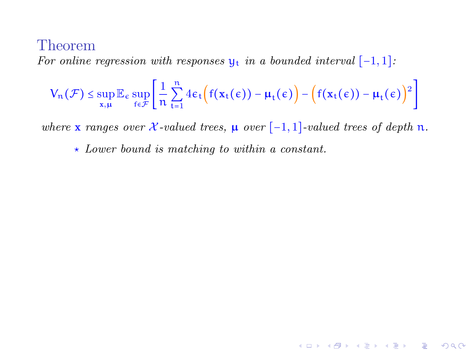For online regression with responses  $y_t$  in a bounded interval  $[-1, 1]$ :

$$
V_n(\mathcal{F}) \leq \sup_{x,\mu} \mathbb{E}_{\varepsilon} \sup_{f \in \mathcal{F}} \Biggl[ \frac{1}{n} \sum_{t=1}^n 4 \varepsilon_t \Bigl( f(x_t(\varepsilon)) - \mu_t(\varepsilon) \Bigr) - \Bigl( f(x_t(\varepsilon)) - \mu_t(\varepsilon) \Bigr)^2 \Biggr]
$$

where x ranges over  $\mathcal{X}\text{-valued trees}, \mu$  over  $[-1,1]$ -valued trees of depth n.

K ロ ▶ K 레 ≯ K 제공 → K 공 → X 9 Q Q Q

 $\star$  Lower bound is matching to within a constant.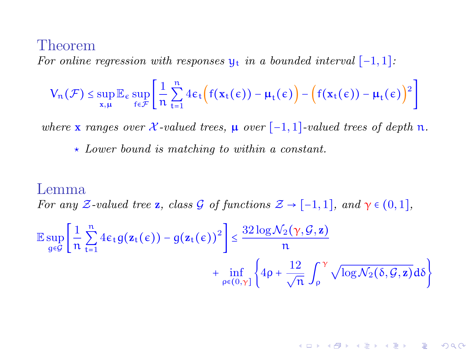For online regression with responses  $\mathbf{u}_t$  in a bounded interval  $[-1, 1]$ :

$$
V_n(\mathcal{F}) \leq \sup_{x,\mu} \mathbb{E}_{\varepsilon} \sup_{f \in \mathcal{F}} \Biggl[ \frac{1}{n} \sum_{t=1}^n 4 \varepsilon_t \Bigl( f(x_t(\varepsilon)) - \mu_t(\varepsilon) \Bigr) - \Bigl( f(x_t(\varepsilon)) - \mu_t(\varepsilon) \Bigr)^2 \Biggr]
$$

where x ranges over  $\mathcal{X}$ -valued trees,  $\mu$  over [-1, 1]-valued trees of depth  $\pi$ .

 $\star$  Lower bound is matching to within a constant.

#### Lemma

For any Z-valued tree **z**, class G of functions  $\mathcal{Z} \to [-1,1]$ , and  $\gamma \in (0,1]$ ,

$$
\mathbb{E}\sup_{g\in\mathcal{G}}\left[\frac{1}{n}\sum_{t=1}^{n}4\varepsilon_{t}g(\mathbf{z}_{t}(\varepsilon)) - g(\mathbf{z}_{t}(\varepsilon))^{2}\right] \leq \frac{32\log\mathcal{N}_{2}(\gamma,\mathcal{G},\mathbf{z})}{n} + \inf_{\rho\in(0,\gamma]}\left\{4\rho + \frac{12}{\sqrt{n}}\int_{\rho}^{\gamma}\sqrt{\log\mathcal{N}_{2}(\delta,\mathcal{G},\mathbf{z})}\,d\delta\right\}
$$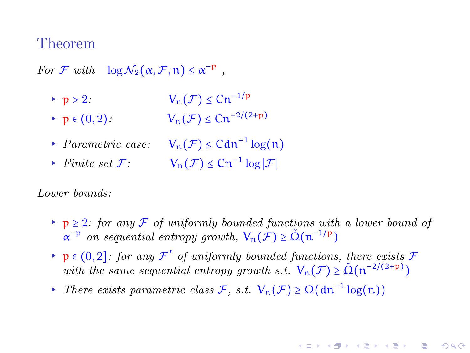For F with  $\log \mathcal{N}_2(\alpha, \mathcal{F}, n) \leq \alpha^{-p}$ ,

- ► p > 2:  $V_n(\mathcal{F}) \leq C n^{-1/p}$
- ►  $p \in (0, 2)$ :  $V_n(\mathcal{F}) \leq C n^{-2/(2+p)}$
- ▸ *Parametric case:*  $V_n(\mathcal{F}) \leq C d n^{-1} \log(n)$
- $\triangleright$  Finite set *F*:  $V_n(\mathcal{F}) \leq Cn^{-1} \log |\mathcal{F}|$

Lower bounds:

► p ≥ 2: for any F of uniformly bounded functions with a lower bound of  $\alpha^{-p}$  on sequential entropy growth,  $V_n(\mathcal{F}) \geq \tilde{\Omega}(n^{-1/p})$ 

- **►**  $p \in (0, 2]$ : for any  $\mathcal{F}'$  of uniformly bounded functions, there exists  $\mathcal{F}$ with the same sequential entropy growth s.t.  $V_n(\mathcal{F}) \ge \tilde{\Omega}(n^{-2/(2+p)})$
- *► There exists parametric class*  $\mathcal{F}$ *, s.t.*  $V_n(\mathcal{F}) \ge \Omega(dn^{-1} \log(n))$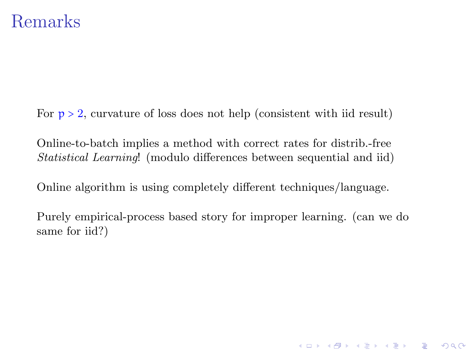### Remarks

For  $p > 2$ , curvature of loss does not help (consistent with iid result)

Online-to-batch implies a method with correct rates for distrib.-free Statistical Learning! (modulo differences between sequential and iid)

Online algorithm is using completely different techniques/language.

Purely empirical-process based story for improper learning. (can we do same for iid?)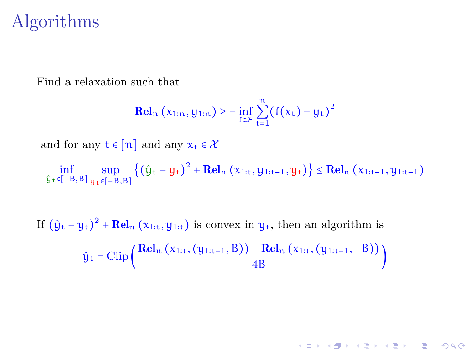### Algorithms

Find a relaxation such that

$$
\mathbf{Rel}_n(x_{1:n}, y_{1:n}) \ge - \inf_{f \in \mathcal{F}} \sum_{t=1}^n (f(x_t) - y_t)^2
$$

and for any  $t \in [n]$  and any  $x_t \in \mathcal{X}$ 

 $\inf_{\hat{y}_t \in [-B,B]} \sup_{y_t \in [-B,B]} \left\{ \left(\hat{y}_t - y_t\right)^2 + \text{Rel}_n(x_{1:t}, y_{1:t-1}, y_t) \right\} \leq \text{Rel}_n(x_{1:t-1}, y_{1:t-1})$ 

If  $(\hat{y}_t - y_t)^2 + \text{Rel}_n(x_{1:t}, y_{1:t})$  is convex in  $y_t$ , then an algorithm is  $\hat{y}_t = \text{Clip}\left(\frac{\text{Rel}_n(x_{1:t}, (y_{1:t-1}, B)) - \text{Rel}_n(x_{1:t}, (y_{1:t-1}, -B))}{4P}\right)$  $\frac{4B}{4B}$  )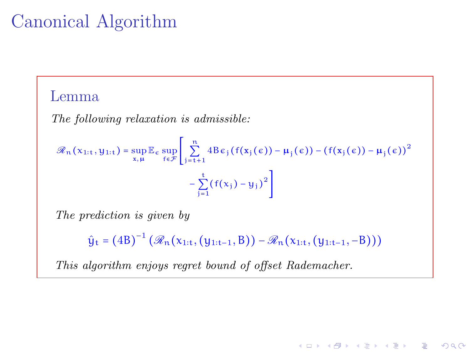# Canonical Algorithm

### Lemma

The following relaxation is admissible:

$$
\mathscr{R}_{n}(x_{1:t}, y_{1:t}) = \sup_{x, \mu} \mathbb{E}_{\epsilon} \sup_{f \in \mathcal{F}} \left[ \sum_{j=t+1}^{n} 4B \epsilon_{j}(f(x_{j}(\epsilon)) - \mu_{j}(\epsilon)) - (f(x_{j}(\epsilon)) - \mu_{j}(\epsilon))^{2} - \sum_{j=1}^{t} (f(x_{j}) - y_{j})^{2} \right]
$$

The prediction is given by

 $\hat{y}_t = (4B)^{-1} (\mathcal{R}_n(x_{1:t}, (y_{1:t-1}, B)) - \mathcal{R}_n(x_{1:t}, (y_{1:t-1}, -B)))$ 

**KOR & KERKER ADA KON** 

This algorithm enjoys regret bound of offset Rademacher.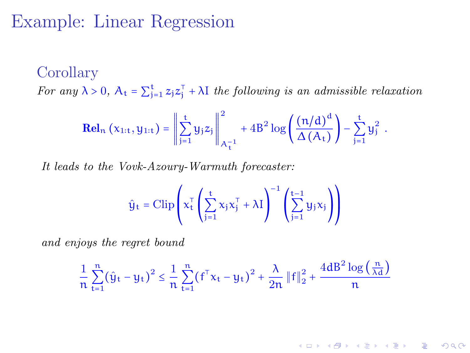### Example: Linear Regression

#### Corollary

For any  $\lambda > 0$ ,  $A_t = \sum_{j=1}^t z_j z_j^{\top} + \lambda I$  the following is an admissible relaxation

$$
\mathbf{Rel}_{n}\left(x_{1:t},y_{1:t}\right)=\left\Vert \sum_{j=1}^{t}y_{j}z_{j}\right\Vert _{A_{t}^{-1}}^{2}+4B^{2}\log\left(\frac{\left(n/d\right)^{d}}{\Delta\left(A_{t}\right)}\right)-\sum_{j=1}^{t}y_{j}^{2}\enspace.
$$

It leads to the Vovk-Azoury-Warmuth forecaster:

$$
\hat{y}_t = \text{Clip}\left(x_t^{\text{T}} \left( \sum_{j=1}^t x_j x_j^{\text{T}} + \lambda I \right)^{-1} \left( \sum_{j=1}^{t-1} y_j x_j \right) \right)
$$

and enjoys the regret bound

$$
\frac{1}{n}\sum_{t=1}^n \big(\hat{y}_t - y_t\big)^2 \leq \frac{1}{n}\sum_{t=1}^n \big({f^{\top}} x_t - y_t\big)^2 + \frac{\lambda}{2n}\left\|f\right\|_2^2 + \frac{4d B^2\log\left(\frac{n}{\lambda d}\right)}{n}
$$

K □ ▶ K ● K K X B X X B X B X X Q Q Q Q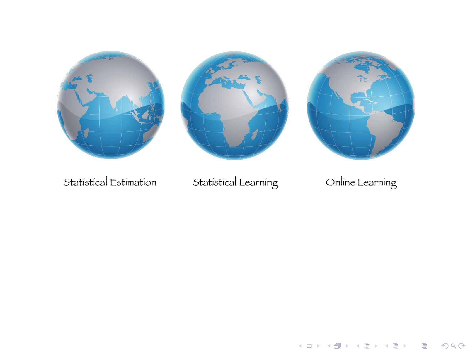





Statistical Estimation

### Statistical Learning

### Online Learning

K ロンス (御) X (老) X (老) / (老)

 $290$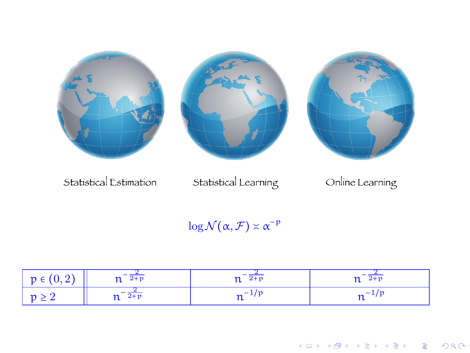

Statistical Estimation

Statistical Learning

### Online Learning

 $\log \mathcal{N}(\alpha, \mathcal{F}) \asymp \alpha^{-p}$ 

| $ p \in (0,2)$ | $n^{-\frac{1}{2+p}}$ | $n^{-\frac{1}{2+p}}$ | $n = \frac{2}{2+p}$ |
|----------------|----------------------|----------------------|---------------------|
| $p \geq 2$     | $n^{-\frac{1}{2+p}}$ |                      |                     |

지수는 지금 사람을 지르는 것이다.  $290$